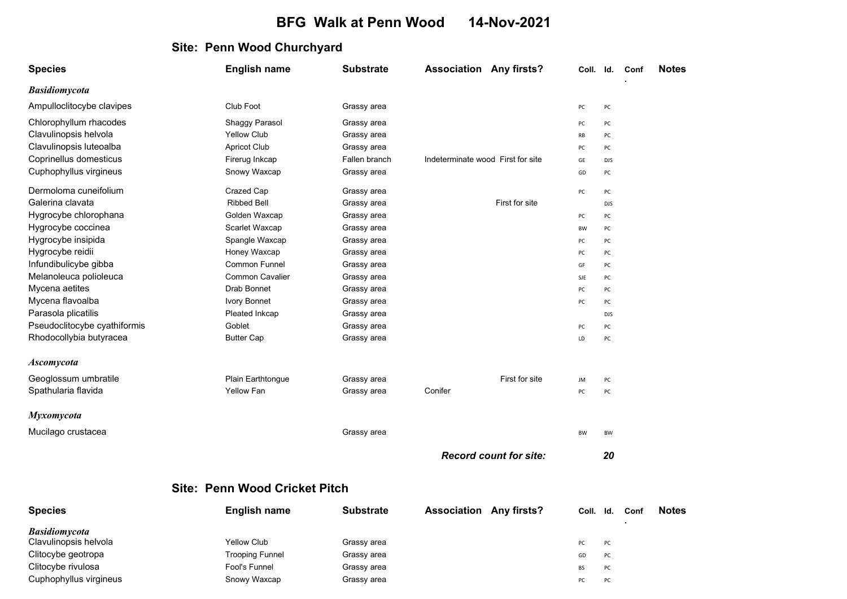## BFG Walk at Penn Wood 14-Nov-2021

## Site: Penn Wood Churchyard

| <b>Species</b>               | <b>English name</b>                  | <b>Substrate</b> | <b>Association Any firsts?</b>    |                               | Coll. Id. |            | Conf | <b>Notes</b> |
|------------------------------|--------------------------------------|------------------|-----------------------------------|-------------------------------|-----------|------------|------|--------------|
| <b>Basidiomycota</b>         |                                      |                  |                                   |                               |           |            |      |              |
| Ampulloclitocybe clavipes    | Club Foot                            | Grassy area      |                                   |                               | PC        | PC         |      |              |
| Chlorophyllum rhacodes       | Shaggy Parasol                       | Grassy area      |                                   |                               | PC        | PC         |      |              |
| Clavulinopsis helvola        | <b>Yellow Club</b>                   | Grassy area      |                                   |                               | RB        | PC         |      |              |
| Clavulinopsis luteoalba      | <b>Apricot Club</b>                  | Grassy area      |                                   |                               | PC        | PC         |      |              |
| Coprinellus domesticus       | Firerug Inkcap                       | Fallen branch    | Indeterminate wood First for site |                               | GE        | <b>DJS</b> |      |              |
| Cuphophyllus virgineus       | Snowy Waxcap                         | Grassy area      |                                   |                               | GD        | PC         |      |              |
| Dermoloma cuneifolium        | Crazed Cap                           | Grassy area      |                                   |                               | PC        | PC         |      |              |
| Galerina clavata             | <b>Ribbed Bell</b>                   | Grassy area      |                                   | First for site                |           | <b>DJS</b> |      |              |
| Hygrocybe chlorophana        | Golden Waxcap                        | Grassy area      |                                   |                               | PC        | PC         |      |              |
| Hygrocybe coccinea           | Scarlet Waxcap                       | Grassy area      |                                   |                               | BW        | PC         |      |              |
| Hygrocybe insipida           | Spangle Waxcap                       | Grassy area      |                                   |                               | PC        | PC         |      |              |
| Hygrocybe reidii             | Honey Waxcap                         | Grassy area      |                                   |                               | PC        | PC         |      |              |
| Infundibulicybe gibba        | Common Funnel                        | Grassy area      |                                   |                               | GF        | PC         |      |              |
| Melanoleuca polioleuca       | <b>Common Cavalier</b>               | Grassy area      |                                   |                               | SJE       | PC         |      |              |
| Mycena aetites               | <b>Drab Bonnet</b>                   | Grassy area      |                                   |                               | PC        | PC         |      |              |
| Mycena flavoalba             | <b>Ivory Bonnet</b>                  | Grassy area      |                                   |                               | PC        | PC         |      |              |
| Parasola plicatilis          | Pleated Inkcap                       | Grassy area      |                                   |                               |           | <b>DJS</b> |      |              |
| Pseudoclitocybe cyathiformis | Goblet                               | Grassy area      |                                   |                               | PC        | PC         |      |              |
| Rhodocollybia butyracea      | <b>Butter Cap</b>                    | Grassy area      |                                   |                               | LD        | PC         |      |              |
| <b>Ascomycota</b>            |                                      |                  |                                   |                               |           |            |      |              |
| Geoglossum umbratile         | Plain Earthtongue                    | Grassy area      |                                   | First for site                | JM        | PC         |      |              |
| Spathularia flavida          | <b>Yellow Fan</b>                    | Grassy area      | Conifer                           |                               | PC        | PC         |      |              |
| <b>Myxomycota</b>            |                                      |                  |                                   |                               |           |            |      |              |
| Mucilago crustacea           |                                      | Grassy area      |                                   |                               | <b>BW</b> | BW         |      |              |
|                              |                                      |                  |                                   | <b>Record count for site:</b> |           | 20         |      |              |
|                              | <b>Site: Penn Wood Cricket Pitch</b> |                  |                                   |                               |           |            |      |              |

| <b>Species</b>         | <b>English name</b> | <b>Substrate</b> | <b>Association Any firsts?</b> | Coll. | ld.       | Conf | <b>Notes</b> |
|------------------------|---------------------|------------------|--------------------------------|-------|-----------|------|--------------|
| <b>Basidiomycota</b>   |                     |                  |                                |       |           |      |              |
| Clavulinopsis helvola  | <b>Yellow Club</b>  | Grassy area      |                                | PC .  | PC.       |      |              |
| Clitocybe geotropa     | Trooping Funnel     | Grassy area      |                                | GD    | PC        |      |              |
| Clitocybe rivulosa     | Fool's Funnel       | Grassy area      |                                | BS    | PC        |      |              |
| Cuphophyllus virgineus | Snowy Waxcap        | Grassy area      |                                | PC    | <b>PC</b> |      |              |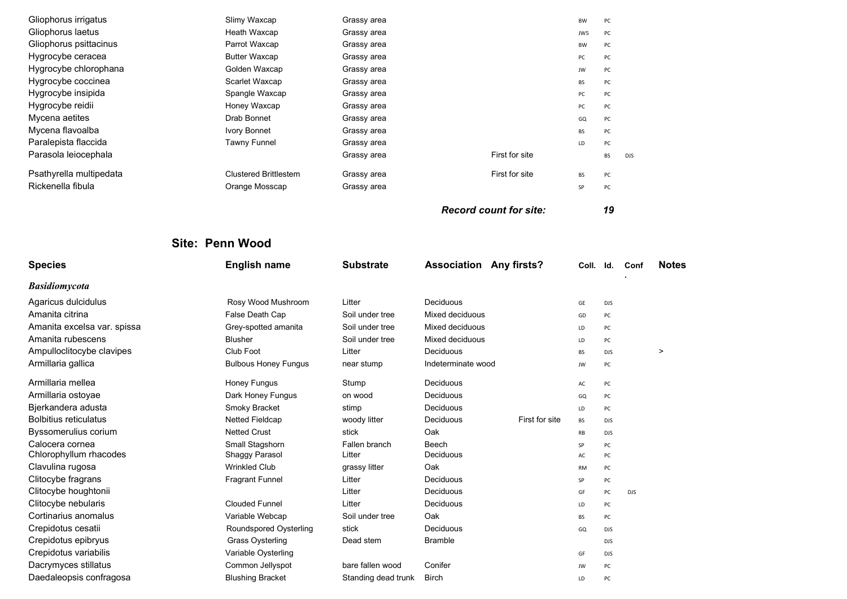| Gliophorus irrigatus<br>Gliophorus laetus<br>Gliophorus psittacinus<br>Hygrocybe ceracea<br>Hygrocybe chlorophana<br>Hygrocybe coccinea | Slimy Waxcap<br>Heath Waxcap<br>Parrot Waxcap<br><b>Butter Waxcap</b><br>Golden Waxcap<br>Scarlet Waxcap | Grassy area<br>Grassy area<br>Grassy area<br>Grassy area<br>Grassy area<br>Grassy area |                                | BW<br>JW5<br>BW<br>PC<br>JW<br>BS | PC<br>PC<br>PC<br>PC<br>PC<br>PC |            |              |
|-----------------------------------------------------------------------------------------------------------------------------------------|----------------------------------------------------------------------------------------------------------|----------------------------------------------------------------------------------------|--------------------------------|-----------------------------------|----------------------------------|------------|--------------|
| Hygrocybe insipida                                                                                                                      | Spangle Waxcap                                                                                           | Grassy area                                                                            |                                | PC                                | PC                               |            |              |
| Hygrocybe reidii                                                                                                                        | Honey Waxcap                                                                                             | Grassy area                                                                            |                                | PC                                | PC                               |            |              |
| Mycena aetites                                                                                                                          | Drab Bonnet                                                                                              | Grassy area                                                                            |                                | GQ                                | PC                               |            |              |
| Mycena flavoalba                                                                                                                        | Ivory Bonnet                                                                                             | Grassy area                                                                            |                                | BS                                | PC                               |            |              |
| Paralepista flaccida                                                                                                                    | <b>Tawny Funnel</b>                                                                                      | Grassy area                                                                            | First for site                 | LD                                | PC                               |            |              |
| Parasola leiocephala                                                                                                                    |                                                                                                          | Grassy area                                                                            |                                |                                   | BS                               | <b>DJS</b> |              |
| Psathyrella multipedata                                                                                                                 | <b>Clustered Brittlestem</b>                                                                             | Grassy area                                                                            | First for site                 | <b>BS</b>                         | PC                               |            |              |
| Rickenella fibula                                                                                                                       | Orange Mosscap                                                                                           | Grassy area                                                                            |                                | SP                                | PC                               |            |              |
|                                                                                                                                         |                                                                                                          |                                                                                        | <b>Record count for site:</b>  |                                   | 19                               |            |              |
|                                                                                                                                         | Site: Penn Wood                                                                                          |                                                                                        |                                |                                   |                                  |            |              |
| <b>Species</b>                                                                                                                          | <b>English name</b>                                                                                      | <b>Substrate</b>                                                                       | <b>Association Any firsts?</b> | Coll.                             | Id.                              | Conf       | <b>Notes</b> |
| <b>Basidiomycota</b>                                                                                                                    |                                                                                                          |                                                                                        |                                |                                   |                                  |            |              |
| Agaricus dulcidulus                                                                                                                     | Rosy Wood Mushroom                                                                                       | Litter                                                                                 | Deciduous                      | GE                                | <b>DJS</b>                       |            |              |
| Amanita citrina                                                                                                                         | False Death Cap                                                                                          | Soil under tree                                                                        | Mixed deciduous                | GD                                | PC                               |            |              |
| Amanita excelsa var. spissa                                                                                                             | Grey-spotted amanita                                                                                     | Soil under tree                                                                        | Mixed deciduous                | LD                                | PC                               |            |              |
| Amanita rubescens                                                                                                                       | <b>Blusher</b>                                                                                           | Soil under tree                                                                        | Mixed deciduous                | LD                                | PC                               |            |              |
| Ampulloclitocybe clavipes                                                                                                               | Club Foot                                                                                                | Litter                                                                                 | Deciduous                      | BS                                | <b>DJS</b>                       |            | $\,>\,$      |
| Armillaria gallica                                                                                                                      | <b>Bulbous Honey Fungus</b>                                                                              | near stump                                                                             | Indeterminate wood             | JW                                | PC                               |            |              |
| Armillaria mellea                                                                                                                       | Honey Fungus                                                                                             | Stump                                                                                  | Deciduous                      | AC                                | PC                               |            |              |
| Armillaria ostoyae                                                                                                                      | Dark Honey Fungus                                                                                        | on wood                                                                                | Deciduous                      | GQ                                | PC                               |            |              |
| Bjerkandera adusta                                                                                                                      | Smoky Bracket                                                                                            | stimp                                                                                  | Deciduous                      | LD                                | PC                               |            |              |
| <b>Bolbitius reticulatus</b>                                                                                                            | <b>Netted Fieldcap</b>                                                                                   | woody litter                                                                           | First for site<br>Deciduous    | BS                                | <b>DJS</b>                       |            |              |
| Byssomerulius corium                                                                                                                    | <b>Netted Crust</b>                                                                                      | stick                                                                                  | Oak                            | RB                                | <b>DJS</b>                       |            |              |
| Calocera cornea                                                                                                                         | Small Stagshorn                                                                                          | Fallen branch                                                                          | Beech                          | SP                                | PC                               |            |              |
| Chlorophyllum rhacodes                                                                                                                  | Shaggy Parasol                                                                                           | Litter                                                                                 | Deciduous                      | AC                                | PC                               |            |              |
| Clavulina rugosa                                                                                                                        | <b>Wrinkled Club</b>                                                                                     | grassy litter                                                                          | Oak                            | <b>RM</b>                         | PC                               |            |              |
| Clitocybe fragrans<br>Clitocybe houghtonii                                                                                              | <b>Fragrant Funnel</b>                                                                                   | Litter<br>Litter                                                                       | Deciduous<br>Deciduous         | SP                                | PC                               |            |              |
| Clitocybe nebularis                                                                                                                     | <b>Clouded Funnel</b>                                                                                    | Litter                                                                                 | Deciduous                      | GF<br>LD                          | PC<br>PC                         | <b>DJS</b> |              |
|                                                                                                                                         |                                                                                                          | Soil under tree                                                                        | Oak                            | BS                                | PC                               |            |              |
|                                                                                                                                         |                                                                                                          |                                                                                        |                                |                                   |                                  |            |              |
| Cortinarius anomalus                                                                                                                    | Variable Webcap                                                                                          |                                                                                        |                                |                                   |                                  |            |              |
| Crepidotus cesatii                                                                                                                      | Roundspored Oysterling                                                                                   | stick                                                                                  | Deciduous                      | GQ                                | <b>DJS</b>                       |            |              |
| Crepidotus epibryus                                                                                                                     | <b>Grass Oysterling</b>                                                                                  | Dead stem                                                                              | <b>Bramble</b>                 | GF                                | <b>DJS</b><br>DJS                |            |              |
| Crepidotus variabilis<br>Dacrymyces stillatus                                                                                           | Variable Oysterling<br>Common Jellyspot                                                                  | bare fallen wood                                                                       | Conifer                        | JW                                | PC                               |            |              |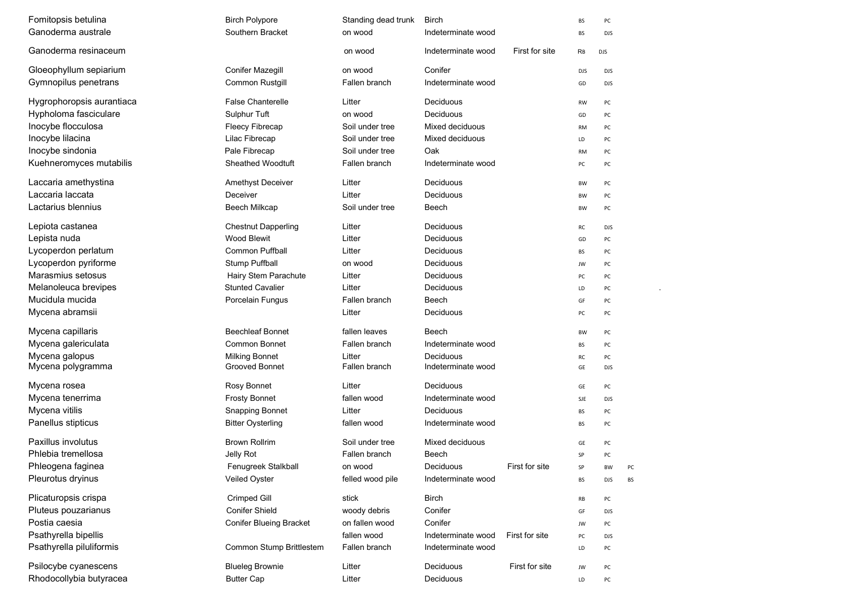| Fomitopsis betulina       | <b>Birch Polypore</b>          | Standing dead trunk | Birch              |                | <b>BS</b>  | PC         |    |  |  |
|---------------------------|--------------------------------|---------------------|--------------------|----------------|------------|------------|----|--|--|
| Ganoderma australe        | Southern Bracket               | on wood             | Indeterminate wood |                | <b>BS</b>  | <b>DJS</b> |    |  |  |
| Ganoderma resinaceum      |                                | on wood             | Indeterminate wood | First for site | RB         | <b>DJS</b> |    |  |  |
| Gloeophyllum sepiarium    | <b>Conifer Mazegill</b>        | on wood             | Conifer            |                | <b>DJS</b> | <b>DJS</b> |    |  |  |
| Gymnopilus penetrans      | Common Rustgill                | Fallen branch       | Indeterminate wood |                | GD         | <b>DJS</b> |    |  |  |
| Hygrophoropsis aurantiaca | <b>False Chanterelle</b>       | Litter              | Deciduous          |                | <b>RW</b>  | PC         |    |  |  |
| Hypholoma fasciculare     | Sulphur Tuft                   | on wood             | Deciduous          |                | GD         | PC         |    |  |  |
| Inocybe flocculosa        | <b>Fleecy Fibrecap</b>         | Soil under tree     | Mixed deciduous    |                | <b>RM</b>  | PC         |    |  |  |
| Inocybe lilacina          | Lilac Fibrecap                 | Soil under tree     | Mixed deciduous    |                | LD         | PC         |    |  |  |
| Inocybe sindonia          | Pale Fibrecap                  | Soil under tree     | Oak                |                | <b>RM</b>  | PC         |    |  |  |
| Kuehneromyces mutabilis   | <b>Sheathed Woodtuft</b>       | Fallen branch       | Indeterminate wood |                | PC         | PC         |    |  |  |
| Laccaria amethystina      | Amethyst Deceiver              | Litter              | Deciduous          |                | BW         | PC         |    |  |  |
| Laccaria laccata          | Deceiver                       | Litter              | Deciduous          |                | BW         | PC         |    |  |  |
| Lactarius blennius        | <b>Beech Milkcap</b>           | Soil under tree     | Beech              |                | BW         | PC         |    |  |  |
| Lepiota castanea          | <b>Chestnut Dapperling</b>     | Litter              | Deciduous          |                | RC         | <b>DJS</b> |    |  |  |
| Lepista nuda              | <b>Wood Blewit</b>             | Litter              | Deciduous          |                | GD         | PC         |    |  |  |
| Lycoperdon perlatum       | <b>Common Puffball</b>         | Litter              | Deciduous          |                | BS         | PC         |    |  |  |
| Lycoperdon pyriforme      | <b>Stump Puffball</b>          | on wood             | Deciduous          |                | JW         | PC         |    |  |  |
| Marasmius setosus         | Hairy Stem Parachute           | Litter              | Deciduous          |                | PC         | PC         |    |  |  |
| Melanoleuca brevipes      | <b>Stunted Cavalier</b>        | Litter              | Deciduous          |                | LD         | PC         |    |  |  |
| Mucidula mucida           | Porcelain Fungus               | Fallen branch       | Beech              |                | GF         | PC         |    |  |  |
| Mycena abramsii           |                                | Litter              | Deciduous          |                | PC         | PC         |    |  |  |
| Mycena capillaris         | <b>Beechleaf Bonnet</b>        | fallen leaves       | Beech              |                | BW         | PC         |    |  |  |
| Mycena galericulata       | <b>Common Bonnet</b>           | Fallen branch       | Indeterminate wood |                | BS         | PC         |    |  |  |
| Mycena galopus            | Milking Bonnet                 | Litter              | Deciduous          |                | RC         | PC         |    |  |  |
| Mycena polygramma         | Grooved Bonnet                 | Fallen branch       | Indeterminate wood |                | GE         | <b>DJS</b> |    |  |  |
| Mycena rosea              | Rosy Bonnet                    | Litter              | Deciduous          |                | GE         | PC         |    |  |  |
| Mycena tenerrima          | <b>Frosty Bonnet</b>           | fallen wood         | Indeterminate wood |                | SJE        | <b>DJS</b> |    |  |  |
| Mycena vitilis            | <b>Snapping Bonnet</b>         | Litter              | Deciduous          |                | BS         | PC         |    |  |  |
| Panellus stipticus        | <b>Bitter Oysterling</b>       | fallen wood         | Indeterminate wood |                | BS         | PC         |    |  |  |
| Paxillus involutus        | <b>Brown Rollrim</b>           | Soil under tree     | Mixed deciduous    |                | GE         | PC         |    |  |  |
| Phlebia tremellosa        | Jelly Rot                      | Fallen branch       | Beech              |                | SP         | PC         |    |  |  |
| Phleogena faginea         | Fenugreek Stalkball            | on wood             | Deciduous          | First for site | SP         | BW         | PC |  |  |
| Pleurotus dryinus         | Veiled Oyster                  | felled wood pile    | Indeterminate wood |                | <b>BS</b>  | DJS        | BS |  |  |
| Plicaturopsis crispa      | Crimped Gill                   | stick               | <b>Birch</b>       |                | RB         | PC         |    |  |  |
| Pluteus pouzarianus       | Conifer Shield                 | woody debris        | Conifer            |                | GF         | <b>DJS</b> |    |  |  |
| Postia caesia             | <b>Conifer Blueing Bracket</b> | on fallen wood      | Conifer            |                | JW         | PC         |    |  |  |
| Psathyrella bipellis      |                                | fallen wood         | Indeterminate wood | First for site | PC         | DJS        |    |  |  |
| Psathyrella piluliformis  | Common Stump Brittlestem       | Fallen branch       | Indeterminate wood |                | LD         | PC         |    |  |  |
| Psilocybe cyanescens      | <b>Blueleg Brownie</b>         | Litter              | Deciduous          | First for site | JW         | PC         |    |  |  |
| Rhodocollybia butyracea   | <b>Butter Cap</b>              | Litter              | Deciduous          |                | LD         | PC         |    |  |  |
|                           |                                |                     |                    |                |            |            |    |  |  |